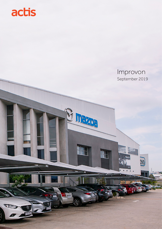

# Improvon September 2019

 $900$ 

J Hazoa

đ

 $\frac{1}{2}$ 

m

 $\frac{1}{\sqrt{2}}$ 

Ō

 $\overline{Q}$ 

**DY 10 20\*** 

 $\mathbb{H}$ 

BŻ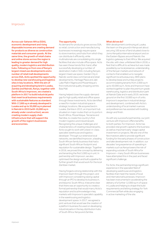## Improvon

Across sub-Saharan Africa (SSA), economic development and rising disposable incomes are creating demand for products as diverse as construction materials and consumer goods. At the same time, the growth of retail chains and online stores across the region is leading to greater demand for high quality, modern logistics and distribution hubs. Following on from one of Kenya's largest mixed use developments and a number of retail mall developments across SSA, Actis spotted the opportunity to develop new warehousing and logistics sites in key locations. With the aim of acquiring and developing land in Lusaka, Zambia and Nairobi, Kenya, together with South Africa's Improvon, we created a platform in 2017 to build industrial parks that meet local business requirements with sustainable features as standard. With 17,000 sq m already developed in Lusaka and up to 30,000 sq m planned in Nairobi in 2019 (with 10,000 sq m already under construction), we are creating modern supply chain infrastructure that will support the growth of the region's businesses and economies.

### The opportunity

As demand for products grows across SSA, so retail, construction and manufacturing businesses increasingly require space to store inventory and hubs from which they can distribute it efficiently, while multinationals are consolidating into single facilities that also include office space. Actis has seen these trends first-hand, after successfully developing a number of destination malls in SSA, including Kenya's largest mixed use space, Garden City in Nairobi; world class commercial and retail developments, Heritage Place and Jabi Lake Mall in Nigeria and Mozambique's first institutional quality shopping centre, Baia Mall.

Having helped close the supply-demand gap for high quality retail and office space through these investments, Actis identified a need for modern industrial space in strategic locations. We acquired land in Lusaka, Zambia in 2013, an important hub situated on major routes that run to ports in South Africa, Mozambique, Tanzania and Namibia, to create the country's first modern logistics and industrial park. Recognising the unique challenges and characteristics of creating industrial parks, Actis sought to work with a best-in-class specialist warehouse and logistics developer. Through our extensive local networks, we identified Improvon, a leading South African family business that had a significant South African footprint and reputation for sustainable design. Together in 2016, we proved the concept by delivering and tenanting the first 5,000 sq m unit. In partnership with Improvon, we also optimised the design and built a pipeline for further growth that would work for the local Zambian market.

Having forged a strong relationship with the Improvon team through this project, and with Improvon considering raising capital through an IPO to develop its business in, and beyond, South Africa, it became clear that there was an opportunity to create a formal partnership that would marry Actis's reputation and local knowledge in key markets with Improvon's specialist capability in the warehousing and logistics development space. In 2017, we agreed a joint venture that would see the creation of a platform business focused on developing industrial parks in the key distribution hubs of South Africa, Kenya and Zambia.

#### What did we do?

With development continuing at Lusaka, the team on the ground in Kenya set about securing 100 acres of land situated close to Jomo Kenyatta international airport and on the Eastern Bypass around Nairobi, the logistics gateway to East Africa. We acquired the site, with clear, unfettered title in 2018, a feat that is difficult to achieve but was made possible by our local presence, understanding of the Kenyan markets and network of contacts that enabled us to navigate significant local bureaucracy. With plans to develop lease and turnkey projects accommodating tenants from 2,000 sq m up to 50,000 sq m, Actis and Improvon have worked together to plan the premium grade warehousing, logistics and distribution park at Nairobi Gate and in early 2019, we broke ground on the first 10,000 sq m of units. Improvon's expertise in industrial design and development, combined with Actis's understanding of local market nuances and preferences has assisted with building design and finish.

As with any successful partnership, our joint venture with Improvon offers benefits to both parties. For Improvon, Actis has provided vital growth capital to the business as well as important early-stage capital investment on projects. We are one of the few investors able to provide significant funding for the early phases of construction and take development risk. In addition, our decades' long experience of operating in markets such as Kenya lowers the risk of expanding outside of South Africa for Improvon – many South African businesses have attempted this in the past and faced significant challenge.

For Actis, the partnership brings significant experience in the specialist field of developing warehouse and logistics facilities that meet the needs of local and international businesses. Improvon has been instrumental in accelerating the delivery of a further 12,000 sq m of space in Lusaka and helping to shape the build requirements and letting strategy for York Commercial Park while also engaging in active marketing of the site.